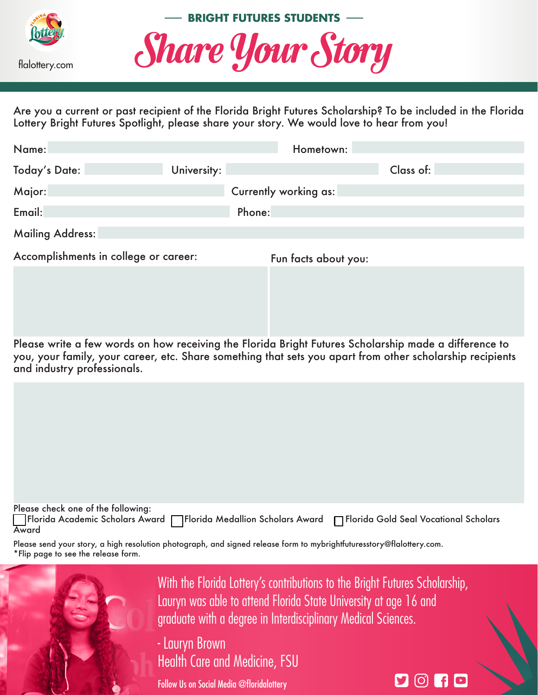



Are you a current or past recipient of the Florida Bright Futures Scholarship? To be included in the Florida Lottery Bright Futures Spotlight, please share your story. We would love to hear from you!

| Name:                                 |             | Hometown:             |           |
|---------------------------------------|-------------|-----------------------|-----------|
| <b>Today's Date:</b>                  | University: |                       | Class of: |
| Major:                                |             | Currently working as: |           |
| Email:                                |             | Phone:                |           |
| Mailing Address:                      |             |                       |           |
| Accomplishments in college or career: |             | Fun facts about you:  |           |

Please write a few words on how receiving the Florida Bright Futures Scholarship made a difference to you, your family, your career, etc. Share something that sets you apart from other scholarship recipients and industry professionals.





With the Florida Lottery's contributions to the Bright Futures Scholarship, Lauryn was able to attend Florida State University at age 16 and graduate with a degree in Interdisciplinary Medical Sciences.

 $90110$ 

- Lauryn Brown Health Care and Medicine, FSU

Follow Us on Social Media @floridalottery